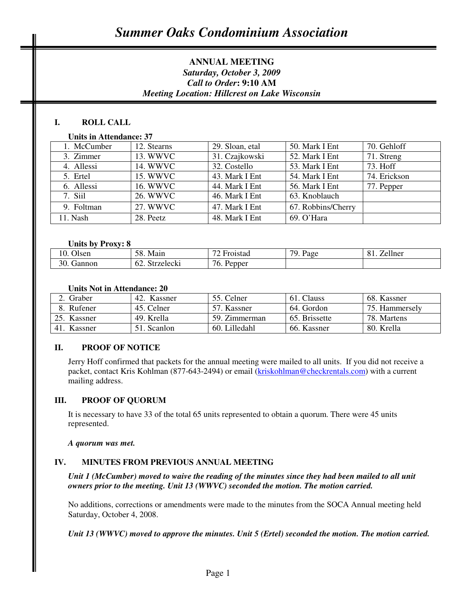# **ANNUAL MEETING**  *Saturday, October 3, 2009 Call to Order***: 9:10 AM** *Meeting Location: Hillcrest on Lake Wisconsin*

# **I. ROLL CALL**

### **Units in Attendance: 37**

| 1. McCumber | 12. Stearns     | 29. Sloan, etal | 50. Mark I Ent     | 70. Gehloff  |
|-------------|-----------------|-----------------|--------------------|--------------|
| 3. Zimmer   | 13. WWVC        | 31. Czajkowski  | 52. Mark I Ent     | 71. Streng   |
| 4. Allessi  | 14. WWVC        | 32. Costello    | 53. Mark I Ent     | 73. Hoff     |
| 5. Ertel    | 15. WWVC        | 43. Mark I Ent  | 54. Mark I Ent     | 74. Erickson |
| 6. Allessi  | <b>16. WWVC</b> | 44. Mark I Ent  | 56. Mark I Ent     | 77. Pepper   |
| 7. Siil     | 26. WWVC        | 46. Mark I Ent  | 63. Knoblauch      |              |
| 9. Foltman  | 27. WWVC        | 47. Mark I Ent  | 67. Robbins/Cherry |              |
| 11. Nash    | 28. Peetz       | 48. Mark I Ent  | 69. O'Hara         |              |

#### **Units by Proxy: 8**

| $\sim$ $\sim$<br><b>Jisen</b> | $\epsilon$<br>Main<br>אר           | $\overline{\phantom{0}}$<br>oistad | 70<br>$\mathbf{r}$<br>Page<br>- | 11<br>∠ellner |
|-------------------------------|------------------------------------|------------------------------------|---------------------------------|---------------|
| 20<br>rannon<br>JU.           | $\sim$ $\sim$<br>.12701001<br>UUNI | $\sim$<br>16.<br>bper<br>v.        |                                 |               |

#### **Units Not in Attendance: 20**

| Graber                | 42. Kassner | 55. Celner    | 61. Clauss    | 68. Kassner    |
|-----------------------|-------------|---------------|---------------|----------------|
| 8. Rufener            | 45. Celner  | 57. Kassner   | 64. Gordon    | 75. Hammersely |
| 25. Kassner           | 49. Krella  | 59. Zimmerman | 65. Brissette | 78. Martens    |
| <b>Kassner</b><br>41. | 51. Scanlon | 60. Lilledahl | 66. Kassner   | 80. Krella     |

## **II. PROOF OF NOTICE**

Jerry Hoff confirmed that packets for the annual meeting were mailed to all units. If you did not receive a packet, contact Kris Kohlman (877-643-2494) or email (kriskohlman@checkrentals.com) with a current mailing address.

#### **III. PROOF OF QUORUM**

It is necessary to have 33 of the total 65 units represented to obtain a quorum. There were 45 units represented.

#### *A quorum was met.*

#### **IV. MINUTES FROM PREVIOUS ANNUAL MEETING**

*Unit 1 (McCumber) moved to waive the reading of the minutes since they had been mailed to all unit owners prior to the meeting. Unit 13 (WWVC) seconded the motion. The motion carried.* 

No additions, corrections or amendments were made to the minutes from the SOCA Annual meeting held Saturday, October 4, 2008.

*Unit 13 (WWVC) moved to approve the minutes. Unit 5 (Ertel) seconded the motion. The motion carried.*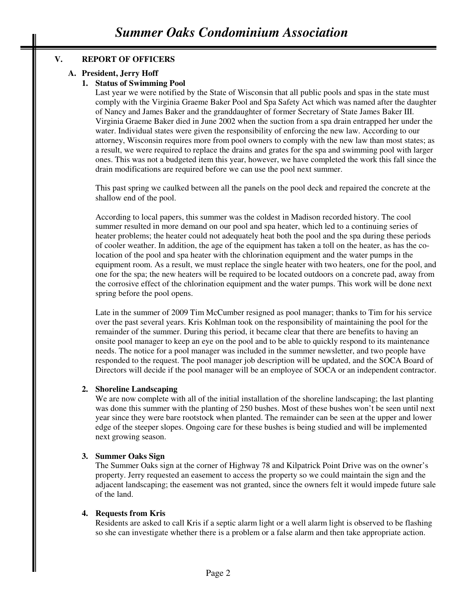# **V. REPORT OF OFFICERS**

# **A. President, Jerry Hoff**

## **1. Status of Swimming Pool**

Last year we were notified by the State of Wisconsin that all public pools and spas in the state must comply with the Virginia Graeme Baker Pool and Spa Safety Act which was named after the daughter of Nancy and James Baker and the granddaughter of former Secretary of State James Baker III. Virginia Graeme Baker died in June 2002 when the suction from a spa drain entrapped her under the water. Individual states were given the responsibility of enforcing the new law. According to our attorney, Wisconsin requires more from pool owners to comply with the new law than most states; as a result, we were required to replace the drains and grates for the spa and swimming pool with larger ones. This was not a budgeted item this year, however, we have completed the work this fall since the drain modifications are required before we can use the pool next summer.

This past spring we caulked between all the panels on the pool deck and repaired the concrete at the shallow end of the pool.

According to local papers, this summer was the coldest in Madison recorded history. The cool summer resulted in more demand on our pool and spa heater, which led to a continuing series of heater problems; the heater could not adequately heat both the pool and the spa during these periods of cooler weather. In addition, the age of the equipment has taken a toll on the heater, as has the colocation of the pool and spa heater with the chlorination equipment and the water pumps in the equipment room. As a result, we must replace the single heater with two heaters, one for the pool, and one for the spa; the new heaters will be required to be located outdoors on a concrete pad, away from the corrosive effect of the chlorination equipment and the water pumps. This work will be done next spring before the pool opens.

Late in the summer of 2009 Tim McCumber resigned as pool manager; thanks to Tim for his service over the past several years. Kris Kohlman took on the responsibility of maintaining the pool for the remainder of the summer. During this period, it became clear that there are benefits to having an onsite pool manager to keep an eye on the pool and to be able to quickly respond to its maintenance needs. The notice for a pool manager was included in the summer newsletter, and two people have responded to the request. The pool manager job description will be updated, and the SOCA Board of Directors will decide if the pool manager will be an employee of SOCA or an independent contractor.

#### **2. Shoreline Landscaping**

We are now complete with all of the initial installation of the shoreline landscaping; the last planting was done this summer with the planting of 250 bushes. Most of these bushes won't be seen until next year since they were bare rootstock when planted. The remainder can be seen at the upper and lower edge of the steeper slopes. Ongoing care for these bushes is being studied and will be implemented next growing season.

## **3. Summer Oaks Sign**

The Summer Oaks sign at the corner of Highway 78 and Kilpatrick Point Drive was on the owner's property. Jerry requested an easement to access the property so we could maintain the sign and the adjacent landscaping; the easement was not granted, since the owners felt it would impede future sale of the land.

#### **4. Requests from Kris**

Residents are asked to call Kris if a septic alarm light or a well alarm light is observed to be flashing so she can investigate whether there is a problem or a false alarm and then take appropriate action.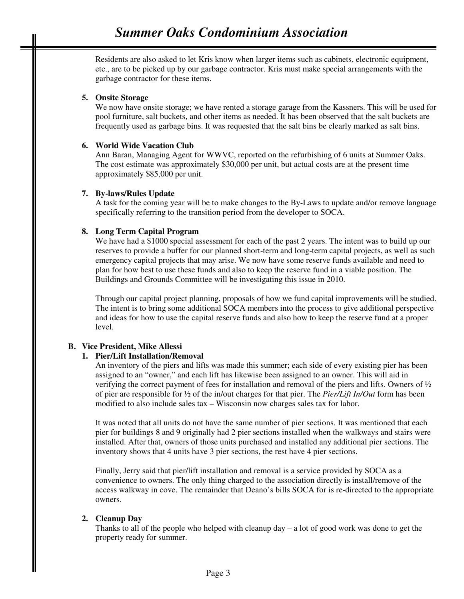Residents are also asked to let Kris know when larger items such as cabinets, electronic equipment, etc., are to be picked up by our garbage contractor. Kris must make special arrangements with the garbage contractor for these items.

## **5. Onsite Storage**

We now have onsite storage; we have rented a storage garage from the Kassners. This will be used for pool furniture, salt buckets, and other items as needed. It has been observed that the salt buckets are frequently used as garbage bins. It was requested that the salt bins be clearly marked as salt bins.

## **6. World Wide Vacation Club**

Ann Baran, Managing Agent for WWVC, reported on the refurbishing of 6 units at Summer Oaks. The cost estimate was approximately \$30,000 per unit, but actual costs are at the present time approximately \$85,000 per unit.

## **7. By-laws/Rules Update**

A task for the coming year will be to make changes to the By-Laws to update and/or remove language specifically referring to the transition period from the developer to SOCA.

## **8. Long Term Capital Program**

We have had a \$1000 special assessment for each of the past 2 years. The intent was to build up our reserves to provide a buffer for our planned short-term and long-term capital projects, as well as such emergency capital projects that may arise. We now have some reserve funds available and need to plan for how best to use these funds and also to keep the reserve fund in a viable position. The Buildings and Grounds Committee will be investigating this issue in 2010.

Through our capital project planning, proposals of how we fund capital improvements will be studied. The intent is to bring some additional SOCA members into the process to give additional perspective and ideas for how to use the capital reserve funds and also how to keep the reserve fund at a proper level.

## **B. Vice President, Mike Allessi**

## **1. Pier/Lift Installation/Removal**

An inventory of the piers and lifts was made this summer; each side of every existing pier has been assigned to an "owner," and each lift has likewise been assigned to an owner. This will aid in verifying the correct payment of fees for installation and removal of the piers and lifts. Owners of ½ of pier are responsible for ½ of the in/out charges for that pier. The *Pier/Lift In/Out* form has been modified to also include sales tax – Wisconsin now charges sales tax for labor.

It was noted that all units do not have the same number of pier sections. It was mentioned that each pier for buildings 8 and 9 originally had 2 pier sections installed when the walkways and stairs were installed. After that, owners of those units purchased and installed any additional pier sections. The inventory shows that 4 units have 3 pier sections, the rest have 4 pier sections.

Finally, Jerry said that pier/lift installation and removal is a service provided by SOCA as a convenience to owners. The only thing charged to the association directly is install/remove of the access walkway in cove. The remainder that Deano's bills SOCA for is re-directed to the appropriate owners.

## **2. Cleanup Day**

Thanks to all of the people who helped with cleanup day – a lot of good work was done to get the property ready for summer.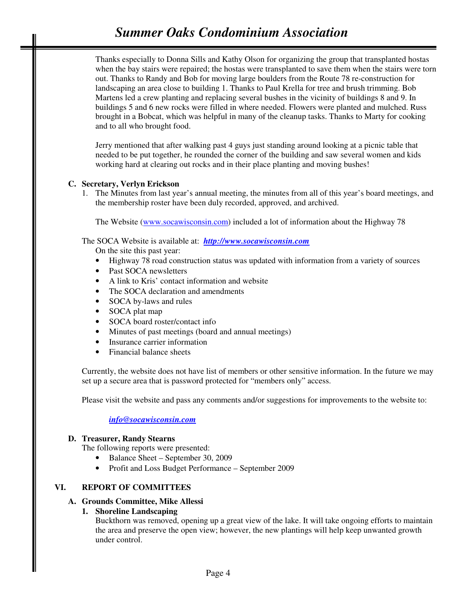# *Summer Oaks Condominium Association*

Thanks especially to Donna Sills and Kathy Olson for organizing the group that transplanted hostas when the bay stairs were repaired; the hostas were transplanted to save them when the stairs were torn out. Thanks to Randy and Bob for moving large boulders from the Route 78 re-construction for landscaping an area close to building 1. Thanks to Paul Krella for tree and brush trimming. Bob Martens led a crew planting and replacing several bushes in the vicinity of buildings 8 and 9. In buildings 5 and 6 new rocks were filled in where needed. Flowers were planted and mulched. Russ brought in a Bobcat, which was helpful in many of the cleanup tasks. Thanks to Marty for cooking and to all who brought food.

Jerry mentioned that after walking past 4 guys just standing around looking at a picnic table that needed to be put together, he rounded the corner of the building and saw several women and kids working hard at clearing out rocks and in their place planting and moving bushes!

#### **C. Secretary, Verlyn Erickson**

1. The Minutes from last year's annual meeting, the minutes from all of this year's board meetings, and the membership roster have been duly recorded, approved, and archived.

The Website (www.socawisconsin.com) included a lot of information about the Highway 78

The SOCA Website is available at: *http://www.socawisconsin.com*

On the site this past year:

- Highway 78 road construction status was updated with information from a variety of sources
- Past SOCA newsletters
- A link to Kris' contact information and website
- The SOCA declaration and amendments
- SOCA by-laws and rules
- SOCA plat map
- SOCA board roster/contact info
- Minutes of past meetings (board and annual meetings)
- Insurance carrier information
- Financial balance sheets

Currently, the website does not have list of members or other sensitive information. In the future we may set up a secure area that is password protected for "members only" access.

Please visit the website and pass any comments and/or suggestions for improvements to the website to:

*info@socawisconsin.com*

### **D. Treasurer, Randy Stearns**

The following reports were presented:

- Balance Sheet September 30, 2009
- Profit and Loss Budget Performance September 2009

## **VI. REPORT OF COMMITTEES**

#### **A. Grounds Committee, Mike Allessi**

## **1. Shoreline Landscaping**

Buckthorn was removed, opening up a great view of the lake. It will take ongoing efforts to maintain the area and preserve the open view; however, the new plantings will help keep unwanted growth under control.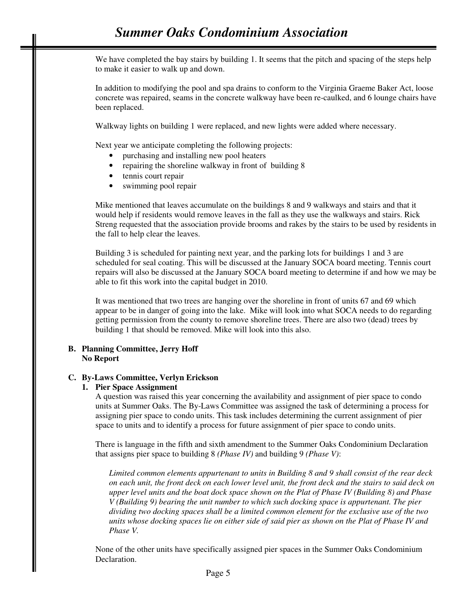We have completed the bay stairs by building 1. It seems that the pitch and spacing of the steps help to make it easier to walk up and down.

In addition to modifying the pool and spa drains to conform to the Virginia Graeme Baker Act, loose concrete was repaired, seams in the concrete walkway have been re-caulked, and 6 lounge chairs have been replaced.

Walkway lights on building 1 were replaced, and new lights were added where necessary.

Next year we anticipate completing the following projects:

- purchasing and installing new pool heaters
- repairing the shoreline walkway in front of building 8
- tennis court repair
- swimming pool repair

Mike mentioned that leaves accumulate on the buildings 8 and 9 walkways and stairs and that it would help if residents would remove leaves in the fall as they use the walkways and stairs. Rick Streng requested that the association provide brooms and rakes by the stairs to be used by residents in the fall to help clear the leaves.

Building 3 is scheduled for painting next year, and the parking lots for buildings 1 and 3 are scheduled for seal coating. This will be discussed at the January SOCA board meeting. Tennis court repairs will also be discussed at the January SOCA board meeting to determine if and how we may be able to fit this work into the capital budget in 2010.

It was mentioned that two trees are hanging over the shoreline in front of units 67 and 69 which appear to be in danger of going into the lake. Mike will look into what SOCA needs to do regarding getting permission from the county to remove shoreline trees. There are also two (dead) trees by building 1 that should be removed. Mike will look into this also.

#### **B. Planning Committee, Jerry Hoff No Report**

#### **C. By-Laws Committee, Verlyn Erickson**

#### **1. Pier Space Assignment**

A question was raised this year concerning the availability and assignment of pier space to condo units at Summer Oaks. The By-Laws Committee was assigned the task of determining a process for assigning pier space to condo units. This task includes determining the current assignment of pier space to units and to identify a process for future assignment of pier space to condo units.

There is language in the fifth and sixth amendment to the Summer Oaks Condominium Declaration that assigns pier space to building 8 *(Phase IV)* and building 9 *(Phase V)*:

*Limited common elements appurtenant to units in Building 8 and 9 shall consist of the rear deck on each unit, the front deck on each lower level unit, the front deck and the stairs to said deck on upper level units and the boat dock space shown on the Plat of Phase IV (Building 8) and Phase V (Building 9) bearing the unit number to which such docking space is appurtenant. The pier dividing two docking spaces shall be a limited common element for the exclusive use of the two units whose docking spaces lie on either side of said pier as shown on the Plat of Phase IV and Phase V.* 

None of the other units have specifically assigned pier spaces in the Summer Oaks Condominium Declaration.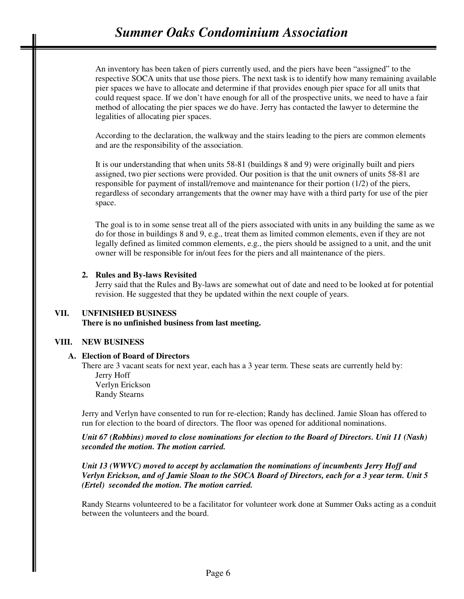# *Summer Oaks Condominium Association*

An inventory has been taken of piers currently used, and the piers have been "assigned" to the respective SOCA units that use those piers. The next task is to identify how many remaining available pier spaces we have to allocate and determine if that provides enough pier space for all units that could request space. If we don't have enough for all of the prospective units, we need to have a fair method of allocating the pier spaces we do have. Jerry has contacted the lawyer to determine the legalities of allocating pier spaces.

According to the declaration, the walkway and the stairs leading to the piers are common elements and are the responsibility of the association.

It is our understanding that when units 58-81 (buildings 8 and 9) were originally built and piers assigned, two pier sections were provided. Our position is that the unit owners of units 58-81 are responsible for payment of install/remove and maintenance for their portion (1/2) of the piers, regardless of secondary arrangements that the owner may have with a third party for use of the pier space.

The goal is to in some sense treat all of the piers associated with units in any building the same as we do for those in buildings 8 and 9, e.g., treat them as limited common elements, even if they are not legally defined as limited common elements, e.g., the piers should be assigned to a unit, and the unit owner will be responsible for in/out fees for the piers and all maintenance of the piers.

#### **2. Rules and By-laws Revisited**

Jerry said that the Rules and By-laws are somewhat out of date and need to be looked at for potential revision. He suggested that they be updated within the next couple of years.

#### **VII. UNFINISHED BUSINESS**

**There is no unfinished business from last meeting.** 

#### **VIII. NEW BUSINESS**

#### **A. Election of Board of Directors**

There are 3 vacant seats for next year, each has a 3 year term. These seats are currently held by: Jerry Hoff Verlyn Erickson Randy Stearns

Jerry and Verlyn have consented to run for re-election; Randy has declined. Jamie Sloan has offered to run for election to the board of directors. The floor was opened for additional nominations.

*Unit 67 (Robbins) moved to close nominations for election to the Board of Directors. Unit 11 (Nash) seconded the motion. The motion carried.* 

*Unit 13 (WWVC) moved to accept by acclamation the nominations of incumbents Jerry Hoff and Verlyn Erickson, and of Jamie Sloan to the SOCA Board of Directors, each for a 3 year term. Unit 5 (Ertel) seconded the motion. The motion carried.*

Randy Stearns volunteered to be a facilitator for volunteer work done at Summer Oaks acting as a conduit between the volunteers and the board.